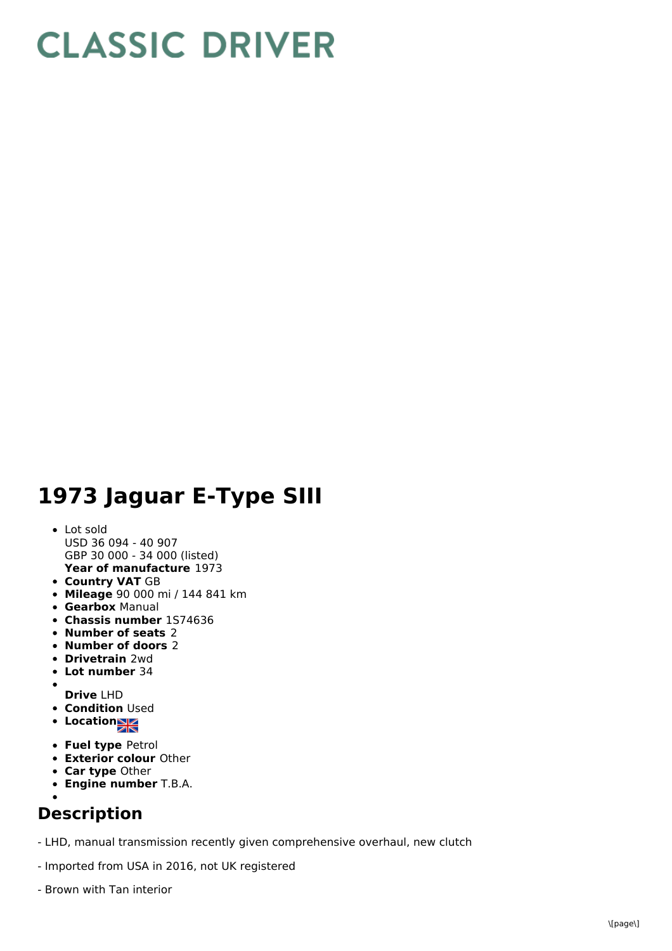## **CLASSIC DRIVER**

## **1973 Jaguar E-Type SIII**

## **Year of manufacture** 1973 Lot sold USD 36 094 - 40 907 GBP 30 000 - 34 000 (listed)

- **Country VAT** GB
- **Mileage** 90 000 mi / 144 841 km
- **Gearbox** Manual
- **Chassis number** 1S74636
- **Number of seats** 2
- **Number of doors** 2
- **Drivetrain** 2wd
- **Lot number** 34
- $\bullet$
- **Drive** LHD **• Condition Used**
- **Locations**
- **Fuel type** Petrol
- **Exterior colour** Other
- **Car type** Other
- **Engine number** T.B.A.

## **Description**

- LHD, manual transmission recently given comprehensive overhaul, new clutch
- Imported from USA in 2016, not UK registered
- Brown with Tan interior